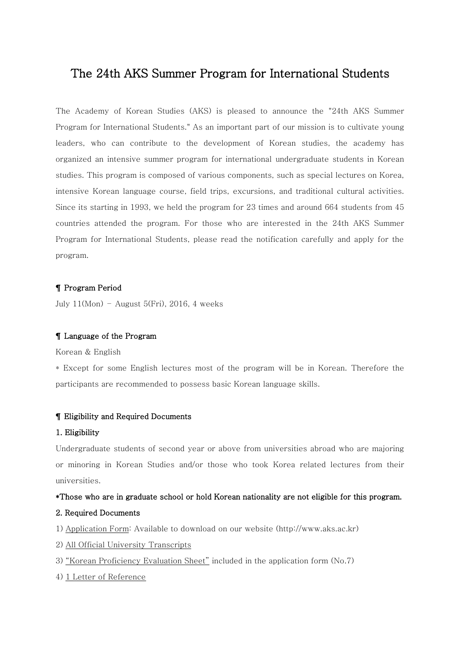# The 24th AKS Summer Program for International Students

The Academy of Korean Studies (AKS) is pleased to announce the "24th AKS Summer Program for International Students." As an important part of our mission is to cultivate young leaders, who can contribute to the development of Korean studies, the academy has organized an intensive summer program for international undergraduate students in Korean studies. This program is composed of various components, such as special lectures on Korea, intensive Korean language course, field trips, excursions, and traditional cultural activities. Since its starting in 1993, we held the program for 23 times and around 664 students from 45 countries attended the program. For those who are interested in the 24th AKS Summer Program for International Students, please read the notification carefully and apply for the program.

### ¶ Program Period

July  $11(Mon)$  – August 5(Fri), 2016, 4 weeks

#### ¶ Language of the Program

Korean & English

\* Except for some English lectures most of the program will be in Korean. Therefore the participants are recommended to possess basic Korean language skills.

#### ¶ Eligibility and Required Documents

#### 1. Eligibility

Undergraduate students of second year or above from universities abroad who are majoring or minoring in Korean Studies and/or those who took Korea related lectures from their universities.

#### \*Those who are in graduate school or hold Korean nationality are not eligible for this program.

#### 2. Required Documents

1) Application Form: Available to download on our website (http://www.aks.ac.kr)

- 2) All Official University Transcripts
- 3) "Korean Proficiency Evaluation Sheet" included in the application form (No.7)
- 4) 1 Letter of Reference